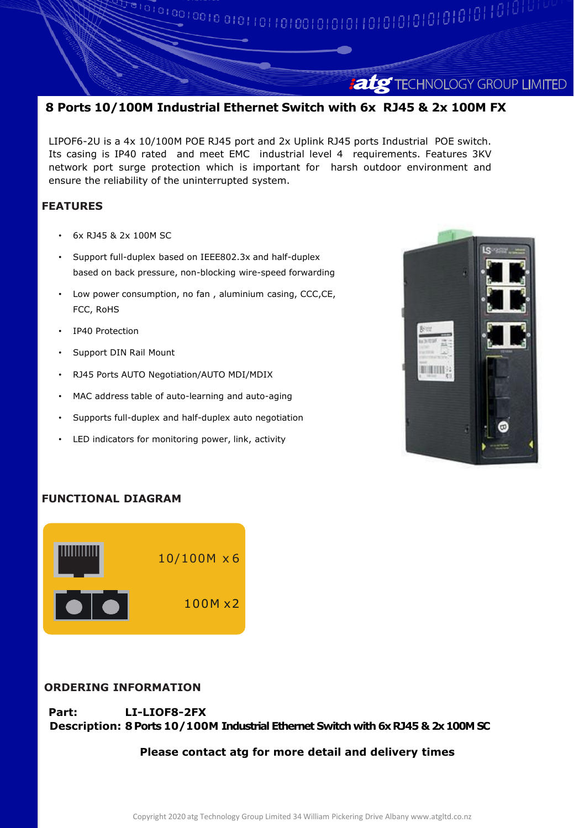# **atg** TECHNOLOGY GROUP LIMITED

## **8 Ports 10/100M Industrial Ethernet Switch with 6x RJ45 & 2x 100M FX**

LIPOF6-2U is a 4x 10/100M POE RJ45 port and 2x Uplink RJ45 ports Industrial POE switch. Its casing is IP40 rated and meet EMC industrial level 4 requirements. Features 3KV network port surge protection which is important for harsh outdoor environment and ensure the reliability of the uninterrupted system.

### **FEATURES**

- 6x RJ45 & 2x 100M SC
- Support full-duplex based on IEEE802.3x and half-duplex based on back pressure, non-blocking wire-speed forwarding
- Low power consumption, no fan , aluminium casing, CCC,CE, FCC, RoHS
- IP40 Protection
- Support DIN Rail Mount
- RJ45 Ports AUTO Negotiation/AUTO MDI/MDIX
- MAC address table of auto-learning and auto-aging
- Supports full-duplex and half-duplex auto negotiation
- LED indicators for monitoring power, link, activity



## **FUNCTIONAL DIAGRAM**



#### **ORDERING INFORMATION**

**Part: LI-LIOF8-2FX Description: 8 Ports 10/100M Industrial Ethernet Switch with 6x RJ45 & 2x 100M SC**

#### **Please contact atg for more detail and delivery times**